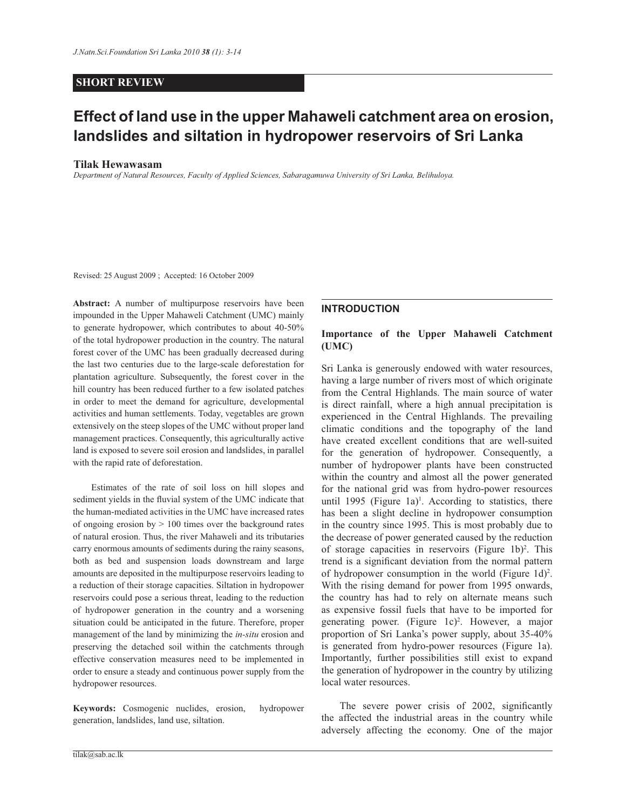# **SHORT REVIEW**

# **Effect of land use in the upper Mahaweli catchment area on erosion, landslides and siltation in hydropower reservoirs of Sri Lanka**

#### **Tilak Hewawasam**

*Department of Natural Resources, Faculty of Applied Sciences, Sabaragamuwa University of Sri Lanka, Belihuloya.*

Revised: 25 August 2009 ; Accepted: 16 October 2009

**Abstract:** A number of multipurpose reservoirs have been impounded in the Upper Mahaweli Catchment (UMC) mainly to generate hydropower, which contributes to about 40-50% of the total hydropower production in the country. The natural forest cover of the UMC has been gradually decreased during the last two centuries due to the large-scale deforestation for plantation agriculture. Subsequently, the forest cover in the hill country has been reduced further to a few isolated patches in order to meet the demand for agriculture, developmental activities and human settlements. Today, vegetables are grown extensively on the steep slopes of the UMC without proper land management practices. Consequently, this agriculturally active land is exposed to severe soil erosion and landslides, in parallel with the rapid rate of deforestation.

 Estimates of the rate of soil loss on hill slopes and sediment yields in the fluvial system of the UMC indicate that the human-mediated activities in the UMC have increased rates of ongoing erosion by  $> 100$  times over the background rates of natural erosion. Thus, the river Mahaweli and its tributaries carry enormous amounts of sediments during the rainy seasons, both as bed and suspension loads downstream and large amounts are deposited in the multipurpose reservoirs leading to a reduction of their storage capacities. Siltation in hydropower reservoirs could pose a serious threat, leading to the reduction of hydropower generation in the country and a worsening situation could be anticipated in the future. Therefore, proper management of the land by minimizing the *in-situ* erosion and preserving the detached soil within the catchments through effective conservation measures need to be implemented in order to ensure a steady and continuous power supply from the hydropower resources.

**Keywords:** Cosmogenic nuclides, erosion, hydropower generation, landslides, land use, siltation.

## **INTRODUCTION**

## **Importance of the Upper Mahaweli Catchment (UMC)**

Sri Lanka is generously endowed with water resources, having a large number of rivers most of which originate from the Central Highlands. The main source of water is direct rainfall, where a high annual precipitation is experienced in the Central Highlands. The prevailing climatic conditions and the topography of the land have created excellent conditions that are well-suited for the generation of hydropower. Consequently, a number of hydropower plants have been constructed within the country and almost all the power generated for the national grid was from hydro-power resources until 1995 (Figure 1a)<sup>1</sup>. According to statistics, there has been a slight decline in hydropower consumption in the country since 1995. This is most probably due to the decrease of power generated caused by the reduction of storage capacities in reservoirs (Figure  $1b$ )<sup>2</sup>. This trend is a significant deviation from the normal pattern of hydropower consumption in the world (Figure  $1d$ )<sup>2</sup>. With the rising demand for power from 1995 onwards, the country has had to rely on alternate means such as expensive fossil fuels that have to be imported for generating power. (Figure  $1c$ )<sup>2</sup>. However, a major proportion of Sri Lanka's power supply, about 35-40% is generated from hydro-power resources (Figure 1a). Importantly, further possibilities still exist to expand the generation of hydropower in the country by utilizing local water resources.

 The severe power crisis of 2002, significantly the affected the industrial areas in the country while adversely affecting the economy. One of the major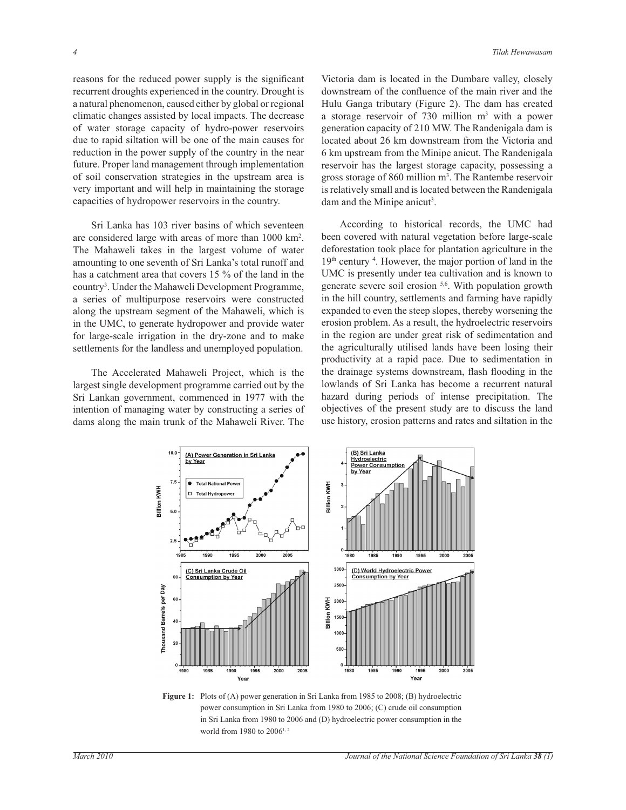reasons for the reduced power supply is the significant recurrent droughts experienced in the country. Drought is a natural phenomenon, caused either by global or regional climatic changes assisted by local impacts. The decrease of water storage capacity of hydro-power reservoirs due to rapid siltation will be one of the main causes for reduction in the power supply of the country in the near future. Proper land management through implementation of soil conservation strategies in the upstream area is very important and will help in maintaining the storage capacities of hydropower reservoirs in the country.

 Sri Lanka has 103 river basins of which seventeen are considered large with areas of more than 1000 km<sup>2</sup> . The Mahaweli takes in the largest volume of water amounting to one seventh of Sri Lanka's total runoff and has a catchment area that covers 15 % of the land in the country<sup>3</sup>. Under the Mahaweli Development Programme, a series of multipurpose reservoirs were constructed along the upstream segment of the Mahaweli, which is in the UMC, to generate hydropower and provide water for large-scale irrigation in the dry-zone and to make settlements for the landless and unemployed population.

 The Accelerated Mahaweli Project, which is the largest single development programme carried out by the Sri Lankan government, commenced in 1977 with the intention of managing water by constructing a series of dams along the main trunk of the Mahaweli River. The

Victoria dam is located in the Dumbare valley, closely downstream of the confluence of the main river and the Hulu Ganga tributary (Figure 2). The dam has created a storage reservoir of  $730$  million  $m<sup>3</sup>$  with a power generation capacity of 210 MW. The Randenigala dam is located about 26 km downstream from the Victoria and 6 km upstream from the Minipe anicut. The Randenigala reservoir has the largest storage capacity, possessing a gross storage of 860 million m<sup>3</sup>. The Rantembe reservoir is relatively small and is located between the Randenigala dam and the Minipe anicut<sup>3</sup>.

 According to historical records, the UMC had been covered with natural vegetation before large-scale deforestation took place for plantation agriculture in the 19<sup>th</sup> century <sup>4</sup>. However, the major portion of land in the UMC is presently under tea cultivation and is known to generate severe soil erosion 5,6. With population growth in the hill country, settlements and farming have rapidly expanded to even the steep slopes, thereby worsening the erosion problem. As a result, the hydroelectric reservoirs in the region are under great risk of sedimentation and the agriculturally utilised lands have been losing their productivity at a rapid pace. Due to sedimentation in the drainage systems downstream, flash flooding in the lowlands of Sri Lanka has become a recurrent natural hazard during periods of intense precipitation. The objectives of the present study are to discuss the land use history, erosion patterns and rates and siltation in the



Figure 1: Plots of (A) power generation in Sri Lanka from 1985 to 2008; (B) hydroelectric power consumption in Sri Lanka from 1980 to 2006; (C) crude oil consumption in Sri Lanka from 1980 to 2006 and (D) hydroelectric power consumption in the world from 1980 to 2006<sup>1, 2</sup>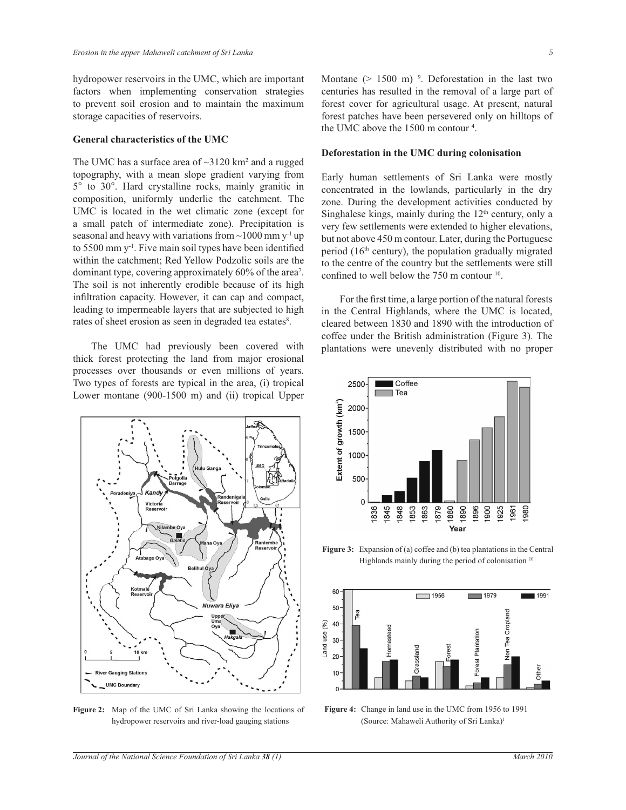hydropower reservoirs in the UMC, which are important factors when implementing conservation strategies to prevent soil erosion and to maintain the maximum storage capacities of reservoirs.

#### **General characteristics of the UMC**

The UMC has a surface area of  $\sim$ 3120 km<sup>2</sup> and a rugged topography, with a mean slope gradient varying from 5° to 30°. Hard crystalline rocks, mainly granitic in composition, uniformly underlie the catchment. The UMC is located in the wet climatic zone (except for a small patch of intermediate zone). Precipitation is seasonal and heavy with variations from  $\sim$ 1000 mm y<sup>-1</sup> up to 5500 mm  $y<sup>-1</sup>$ . Five main soil types have been identified within the catchment; Red Yellow Podzolic soils are the dominant type, covering approximately 60% of the area<sup>7</sup>. The soil is not inherently erodible because of its high infiltration capacity. However, it can cap and compact, leading to impermeable layers that are subjected to high rates of sheet erosion as seen in degraded tea estates<sup>8</sup>.

 The UMC had previously been covered with thick forest protecting the land from major erosional processes over thousands or even millions of years. Two types of forests are typical in the area, (i) tropical Lower montane (900-1500 m) and (ii) tropical Upper



**Figure 2:** Map of the UMC of Sri Lanka showing the locations of hydropower reservoirs and river-load gauging stations

Montane  $(> 1500 \text{ m})$ <sup>9</sup>. Deforestation in the last two centuries has resulted in the removal of a large part of forest cover for agricultural usage. At present, natural forest patches have been persevered only on hilltops of the UMC above the 1500 m contour <sup>4</sup> .

#### **Deforestation in the UMC during colonisation**

Early human settlements of Sri Lanka were mostly concentrated in the lowlands, particularly in the dry zone. During the development activities conducted by Singhalese kings, mainly during the 12<sup>th</sup> century, only a very few settlements were extended to higher elevations, but not above 450 m contour. Later, during the Portuguese period  $(16<sup>th</sup>$  century), the population gradually migrated to the centre of the country but the settlements were still confined to well below the 750 m contour <sup>10</sup>.

 For the first time, a large portion of the natural forests in the Central Highlands, where the UMC is located, cleared between 1830 and 1890 with the introduction of coffee under the British administration (Figure 3). The plantations were unevenly distributed with no proper



Figure 3: Expansion of (a) coffee and (b) tea plantations in the Central Highlands mainly during the period of colonisation<sup>10</sup>



**Figure 4:** Change in land use in the UMC from 1956 to 1991 (Source: Mahaweli Authority of Sri Lanka)1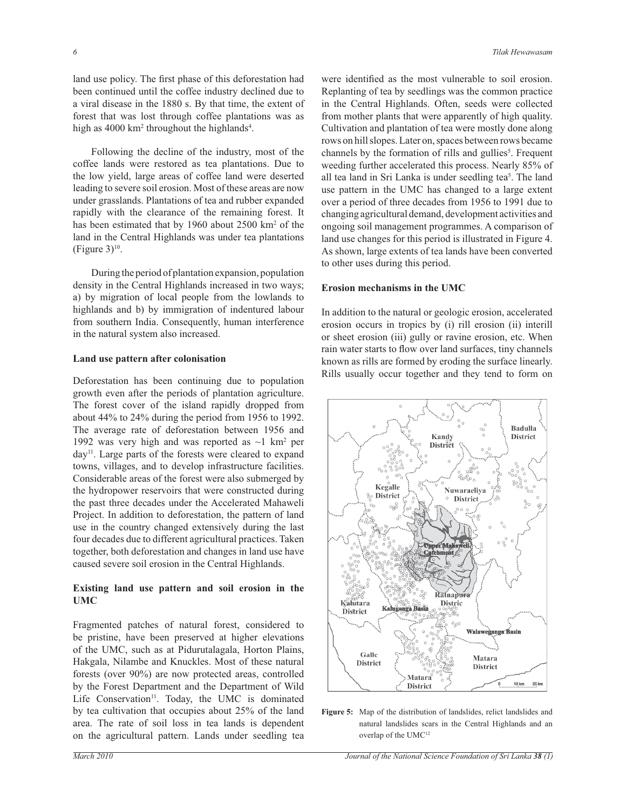land use policy. The first phase of this deforestation had been continued until the coffee industry declined due to a viral disease in the 1880 s. By that time, the extent of forest that was lost through coffee plantations was as high as 4000 km<sup>2</sup> throughout the highlands<sup>4</sup>.

 Following the decline of the industry, most of the coffee lands were restored as tea plantations. Due to the low yield, large areas of coffee land were deserted leading to severe soil erosion. Most of these areas are now under grasslands. Plantations of tea and rubber expanded rapidly with the clearance of the remaining forest. It has been estimated that by 1960 about 2500 km<sup>2</sup> of the land in the Central Highlands was under tea plantations (Figure  $3)$ <sup>10</sup>.

 During the period of plantation expansion, population density in the Central Highlands increased in two ways; a) by migration of local people from the lowlands to highlands and b) by immigration of indentured labour from southern India. Consequently, human interference in the natural system also increased.

#### **Land use pattern after colonisation**

Deforestation has been continuing due to population growth even after the periods of plantation agriculture. The forest cover of the island rapidly dropped from about 44% to 24% during the period from 1956 to 1992. The average rate of deforestation between 1956 and 1992 was very high and was reported as  $\sim$ 1 km<sup>2</sup> per day<sup>11</sup>. Large parts of the forests were cleared to expand towns, villages, and to develop infrastructure facilities. Considerable areas of the forest were also submerged by the hydropower reservoirs that were constructed during the past three decades under the Accelerated Mahaweli Project. In addition to deforestation, the pattern of land use in the country changed extensively during the last four decades due to different agricultural practices. Taken together, both deforestation and changes in land use have caused severe soil erosion in the Central Highlands.

#### **Existing land use pattern and soil erosion in the UMC**

Fragmented patches of natural forest, considered to be pristine, have been preserved at higher elevations of the UMC, such as at Pidurutalagala, Horton Plains, Hakgala, Nilambe and Knuckles. Most of these natural forests (over 90%) are now protected areas, controlled by the Forest Department and the Department of Wild Life Conservation $11$ . Today, the UMC is dominated by tea cultivation that occupies about 25% of the land area. The rate of soil loss in tea lands is dependent on the agricultural pattern. Lands under seedling tea

were identified as the most vulnerable to soil erosion. Replanting of tea by seedlings was the common practice in the Central Highlands. Often, seeds were collected from mother plants that were apparently of high quality. Cultivation and plantation of tea were mostly done along rows on hill slopes. Later on, spaces between rows became channels by the formation of rills and gullies<sup>5</sup>. Frequent weeding further accelerated this process. Nearly 85% of all tea land in Sri Lanka is under seedling tea<sup>5</sup>. The land use pattern in the UMC has changed to a large extent over a period of three decades from 1956 to 1991 due to changing agricultural demand, development activities and ongoing soil management programmes. A comparison of land use changes for this period is illustrated in Figure 4. As shown, large extents of tea lands have been converted to other uses during this period.

## **Erosion mechanisms in the UMC**

In addition to the natural or geologic erosion, accelerated erosion occurs in tropics by (i) rill erosion (ii) interill or sheet erosion (iii) gully or ravine erosion, etc. When rain water starts to flow over land surfaces, tiny channels known as rills are formed by eroding the surface linearly. Rills usually occur together and they tend to form on



**Figure 5:** Map of the distribution of landslides, relict landslides and natural landslides scars in the Central Highlands and an overlap of the UMC12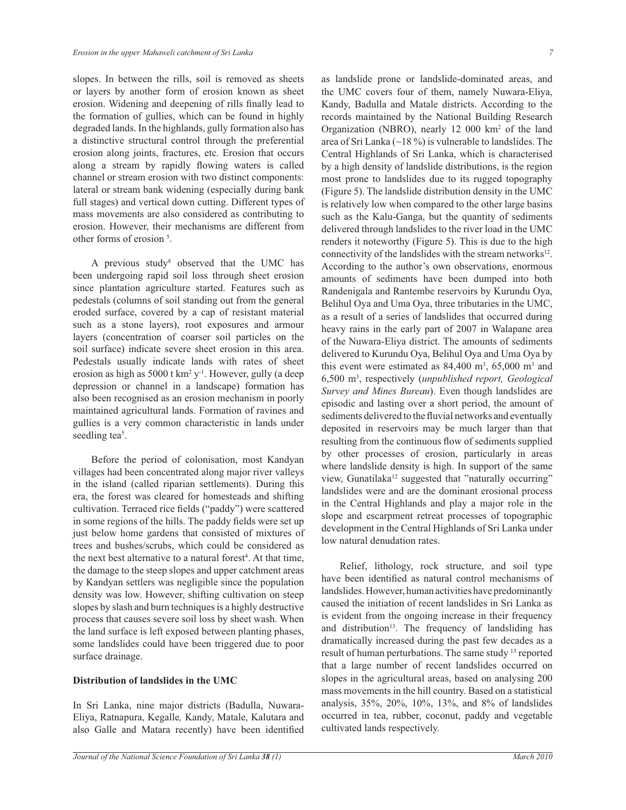slopes. In between the rills, soil is removed as sheets or layers by another form of erosion known as sheet erosion. Widening and deepening of rills finally lead to the formation of gullies, which can be found in highly degraded lands. In the highlands, gully formation also has a distinctive structural control through the preferential erosion along joints, fractures, etc. Erosion that occurs along a stream by rapidly flowing waters is called channel or stream erosion with two distinct components: lateral or stream bank widening (especially during bank full stages) and vertical down cutting. Different types of mass movements are also considered as contributing to erosion. However, their mechanisms are different from other forms of erosion <sup>5</sup> .

A previous study<sup>8</sup> observed that the UMC has been undergoing rapid soil loss through sheet erosion since plantation agriculture started. Features such as pedestals (columns of soil standing out from the general eroded surface, covered by a cap of resistant material such as a stone layers), root exposures and armour layers (concentration of coarser soil particles on the soil surface) indicate severe sheet erosion in this area. Pedestals usually indicate lands with rates of sheet erosion as high as 5000 t km<sup>2</sup> y<sup>-1</sup>. However, gully (a deep depression or channel in a landscape) formation has also been recognised as an erosion mechanism in poorly maintained agricultural lands. Formation of ravines and gullies is a very common characteristic in lands under seedling tea<sup>5</sup>.

 Before the period of colonisation, most Kandyan villages had been concentrated along major river valleys in the island (called riparian settlements). During this era, the forest was cleared for homesteads and shifting cultivation. Terraced rice fields ("paddy") were scattered in some regions of the hills. The paddy fields were set up just below home gardens that consisted of mixtures of trees and bushes/scrubs, which could be considered as the next best alternative to a natural forest<sup>4</sup>. At that time, the damage to the steep slopes and upper catchment areas by Kandyan settlers was negligible since the population density was low. However, shifting cultivation on steep slopes by slash and burn techniques is a highly destructive process that causes severe soil loss by sheet wash. When the land surface is left exposed between planting phases, some landslides could have been triggered due to poor surface drainage.

## **Distribution of landslides in the UMC**

In Sri Lanka, nine major districts (Badulla, Nuwara-Eliya, Ratnapura, Kegalle*,* Kandy, Matale, Kalutara and also Galle and Matara recently) have been identified as landslide prone or landslide-dominated areas, and the UMC covers four of them, namely Nuwara-Eliya, Kandy, Badulla and Matale districts. According to the records maintained by the National Building Research Organization (NBRO), nearly 12 000 km<sup>2</sup> of the land area of Sri Lanka ( $\sim$ 18 %) is vulnerable to landslides. The Central Highlands of Sri Lanka, which is characterised by a high density of landslide distributions, is the region most prone to landslides due to its rugged topography (Figure 5). The landslide distribution density in the UMC is relatively low when compared to the other large basins such as the Kalu-Ganga, but the quantity of sediments delivered through landslides to the river load in the UMC renders it noteworthy (Figure 5). This is due to the high connectivity of the landslides with the stream networks $12$ . According to the author's own observation*s*, enormous amounts of sediments have been dumped into both Randenigala and Rantembe reservoirs by Kurundu Oya, Belihul Oya and Uma Oya, three tributaries in the UMC, as a result of a series of landslides that occurred during heavy rains in the early part of 2007 in Walapane area of the Nuwara-Eliya district. The amounts of sediments delivered to Kurundu Oya, Belihul Oya and Uma Oya by this event were estimated as  $84,400 \text{ m}^3, 65,000 \text{ m}^3$  and 6,500 m<sup>3</sup> , respectively (*unpublished report, Geological Survey and Mines Bureau*). Even though landslides are episodic and lasting over a short period, the amount of sediments delivered to the fluvial networks and eventually deposited in reservoirs may be much larger than that resulting from the continuous flow of sediments supplied by other processes of erosion, particularly in areas where landslide density is high. In support of the same view, Gunatilaka<sup>12</sup> suggested that "naturally occurring" landslides were and are the dominant erosional process in the Central Highlands and play a major role in the slope and escarpment retreat processes of topographic development in the Central Highlands of Sri Lanka under low natural denudation rates.

 Relief, lithology, rock structure, and soil type have been identified as natural control mechanisms of landslides. However, human activities have predominantly caused the initiation of recent landslides in Sri Lanka as is evident from the ongoing increase in their frequency and distribution<sup>13</sup>. The frequency of landsliding has dramatically increased during the past few decades as a result of human perturbations. The same study <sup>13</sup> reported that a large number of recent landslides occurred on slopes in the agricultural areas, based on analysing 200 mass movements in the hill country. Based on a statistical analysis, 35%, 20%, 10%, 13%, and 8% of landslides occurred in tea, rubber, coconut, paddy and vegetable cultivated lands respectively.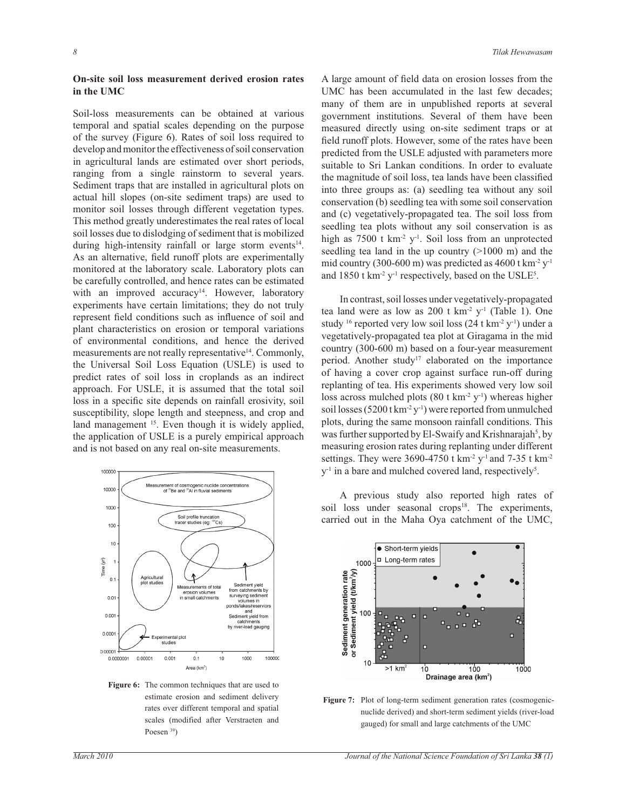#### **On-site soil loss measurement derived erosion rates in the UMC**

Soil-loss measurements can be obtained at various temporal and spatial scales depending on the purpose of the survey (Figure 6). Rates of soil loss required to develop and monitor the effectiveness of soil conservation in agricultural lands are estimated over short periods, ranging from a single rainstorm to several years. Sediment traps that are installed in agricultural plots on actual hill slopes (on-site sediment traps) are used to monitor soil losses through different vegetation types. This method greatly underestimates the real rates of local soil losses due to dislodging of sediment that is mobilized during high-intensity rainfall or large storm events<sup>14</sup>. As an alternative, field runoff plots are experimentally monitored at the laboratory scale. Laboratory plots can be carefully controlled, and hence rates can be estimated with an improved accuracy<sup>14</sup>. However, laboratory experiments have certain limitations; they do not truly represent field conditions such as influence of soil and plant characteristics on erosion or temporal variations of environmental conditions, and hence the derived measurements are not really representative<sup>14</sup>. Commonly, the Universal Soil Loss Equation (USLE) is used to predict rates of soil loss in croplands as an indirect approach. For USLE, it is assumed that the total soil loss in a specific site depends on rainfall erosivity, soil susceptibility, slope length and steepness, and crop and land management <sup>15</sup>. Even though it is widely applied, the application of USLE is a purely empirical approach and is not based on any real on-site measurements.



**Figure 6:** The common techniques that are used to estimate erosion and sediment delivery rates over different temporal and spatial scales (modified after Verstraeten and Poesen <sup>39</sup>)

A large amount of field data on erosion losses from the UMC has been accumulated in the last few decades; many of them are in unpublished reports at several government institutions. Several of them have been measured directly using on-site sediment traps or at field runoff plots. However, some of the rates have been predicted from the USLE adjusted with parameters more suitable to Sri Lankan conditions. In order to evaluate the magnitude of soil loss, tea lands have been classified into three groups as: (a) seedling tea without any soil conservation (b) seedling tea with some soil conservation and (c) vegetatively-propagated tea. The soil loss from seedling tea plots without any soil conservation is as high as 7500 t km<sup>-2</sup> y<sup>-1</sup>. Soil loss from an unprotected seedling tea land in the up country ( $>1000$  m) and the mid country (300-600 m) was predicted as 4600 t km<sup>-2</sup>  $y$ <sup>-1</sup> and  $1850$  t km<sup>-2</sup> y<sup>-1</sup> respectively, based on the USLE<sup>5</sup>.

 In contrast, soil losses under vegetatively-propagated tea land were as low as  $200$  t km<sup>-2</sup> y<sup>-1</sup> (Table 1). One study <sup>16</sup> reported very low soil loss  $(24 \text{ t km}^2 \text{ y}^{\text{-}1})$  under a vegetatively-propagated tea plot at Giragama in the mid country (300-600 m) based on a four-year measurement period. Another study<sup>17</sup> elaborated on the importance of having a cover crop against surface run-off during replanting of tea. His experiments showed very low soil loss across mulched plots  $(80 \text{ t km}^2 \text{ y}^{\text{-}1})$  whereas higher soil losses ( $5200$  t km<sup>-2</sup> y<sup>-1</sup>) were reported from unmulched plots, during the same monsoon rainfall conditions. This was further supported by El-Swaify and Krishnarajah<sup>5</sup>, by measuring erosion rates during replanting under different settings. They were 3690-4750 t km<sup>-2</sup> y<sup>-1</sup> and 7-35 t km<sup>-2</sup> y<sup>-1</sup> in a bare and mulched covered land, respectively<sup>5</sup>.

 A previous study also reported high rates of soil loss under seasonal crops<sup>18</sup>. The experiments, carried out in the Maha Oya catchment of the UMC,



Figure 7: Plot of long-term sediment generation rates (cosmogenicnuclide derived) and short-term sediment yields (river-load gauged) for small and large catchments of the UMC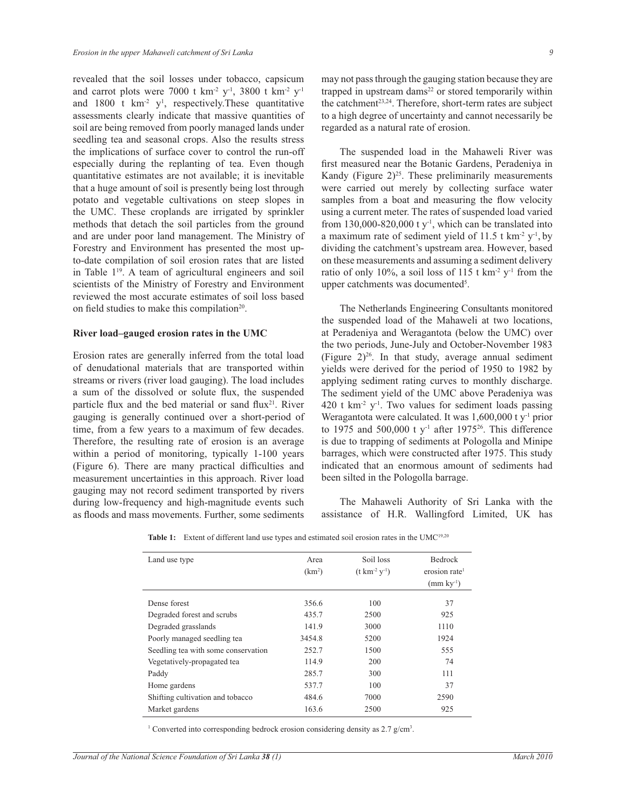revealed that the soil losses under tobacco, capsicum and carrot plots were 7000 t km<sup>-2</sup> y<sup>-1</sup>, 3800 t km<sup>-2</sup> y<sup>-1</sup> and 1800 t  $km^2$  y<sup>1</sup>, respectively. These quantitative assessments clearly indicate that massive quantities of soil are being removed from poorly managed lands under seedling tea and seasonal crops. Also the results stress the implications of surface cover to control the run-off especially during the replanting of tea. Even though quantitative estimates are not available; it is inevitable that a huge amount of soil is presently being lost through potato and vegetable cultivations on steep slopes in the UMC. These croplands are irrigated by sprinkler methods that detach the soil particles from the ground and are under poor land management. The Ministry of Forestry and Environment has presented the most upto-date compilation of soil erosion rates that are listed in Table  $1<sup>19</sup>$ . A team of agricultural engineers and soil scientists of the Ministry of Forestry and Environment reviewed the most accurate estimates of soil loss based on field studies to make this compilation<sup>20</sup>.

#### **River load–gauged erosion rates in the UMC**

Erosion rates are generally inferred from the total load of denudational materials that are transported within streams or rivers (river load gauging). The load includes a sum of the dissolved or solute flux, the suspended particle flux and the bed material or sand flux<sup>21</sup>. River gauging is generally continued over a short-period of time, from a few years to a maximum of few decades. Therefore, the resulting rate of erosion is an average within a period of monitoring, typically 1-100 years (Figure 6). There are many practical difficulties and measurement uncertainties in this approach. River load gauging may not record sediment transported by rivers during low-frequency and high-magnitude events such as floods and mass movements. Further, some sediments

may not pass through the gauging station because they are trapped in upstream dams<sup>22</sup> or stored temporarily within the catchment<sup>23,24</sup>. Therefore, short-term rates are subject to a high degree of uncertainty and cannot necessarily be regarded as a natural rate of erosion.

 The suspended load in the Mahaweli River was first measured near the Botanic Gardens, Peradeniya in Kandy (Figure  $2)^{25}$ . These preliminarily measurements were carried out merely by collecting surface water samples from a boat and measuring the flow velocity using a current meter. The rates of suspended load varied from 130,000-820,000 t  $y<sup>-1</sup>$ , which can be translated into a maximum rate of sediment yield of 11.5 t  $km<sup>-2</sup> y<sup>-1</sup>$ , by dividing the catchment's upstream area. However, based on these measurements and assuming a sediment delivery ratio of only 10%, a soil loss of 115 t  $km^2$  y<sup>-1</sup> from the upper catchments was documented<sup>5</sup>.

 The Netherlands Engineering Consultants monitored the suspended load of the Mahaweli at two locations, at Peradeniya and Weragantota (below the UMC) over the two periods, June-July and October-November 1983 (Figure  $2)^{26}$ . In that study, average annual sediment yields were derived for the period of 1950 to 1982 by applying sediment rating curves to monthly discharge. The sediment yield of the UMC above Peradeniya was 420 t km<sup>-2</sup> y<sup>-1</sup>. Two values for sediment loads passing Weragantota were calculated. It was 1,600,000 t y<sup>-1</sup> prior to 1975 and 500,000 t  $y^{-1}$  after 1975<sup>26</sup>. This difference is due to trapping of sediments at Pologolla and Minipe barrages, which were constructed after 1975. This study indicated that an enormous amount of sediments had been silted in the Pologolla barrage.

 The Mahaweli Authority of Sri Lanka with the assistance of H.R. Wallingford Limited, UK has

| Land use type                       | Area<br>(km <sup>2</sup> ) | Soil loss<br>$(t \text{ km}^{-2} \text{ y}^{-1})$ | <b>Bedrock</b><br>erosion rate <sup>1</sup> |
|-------------------------------------|----------------------------|---------------------------------------------------|---------------------------------------------|
|                                     |                            |                                                   | $\text{(mm ky}^{-1})$                       |
| Dense forest                        | 356.6                      | 100                                               | 37                                          |
| Degraded forest and scrubs          | 435.7                      | 2500                                              | 925                                         |
| Degraded grasslands                 | 141.9                      | 3000                                              | 1110                                        |
| Poorly managed seedling tea         | 3454.8                     | 5200                                              | 1924                                        |
| Seedling tea with some conservation | 252.7                      | 1500                                              | 555                                         |
| Vegetatively-propagated tea         | 114.9                      | 200                                               | 74                                          |
| Paddy                               | 285.7                      | 300                                               | 111                                         |
| Home gardens                        | 537.7                      | 100                                               | 37                                          |
| Shifting cultivation and tobacco    | 484.6                      | 7000                                              | 2590                                        |
| Market gardens                      | 163.6                      | 2500                                              | 925                                         |

Table 1: Extent of different land use types and estimated soil erosion rates in the UMC<sup>19,20</sup>

<sup>1</sup> Converted into corresponding bedrock erosion considering density as 2.7 g/cm<sup>3</sup>.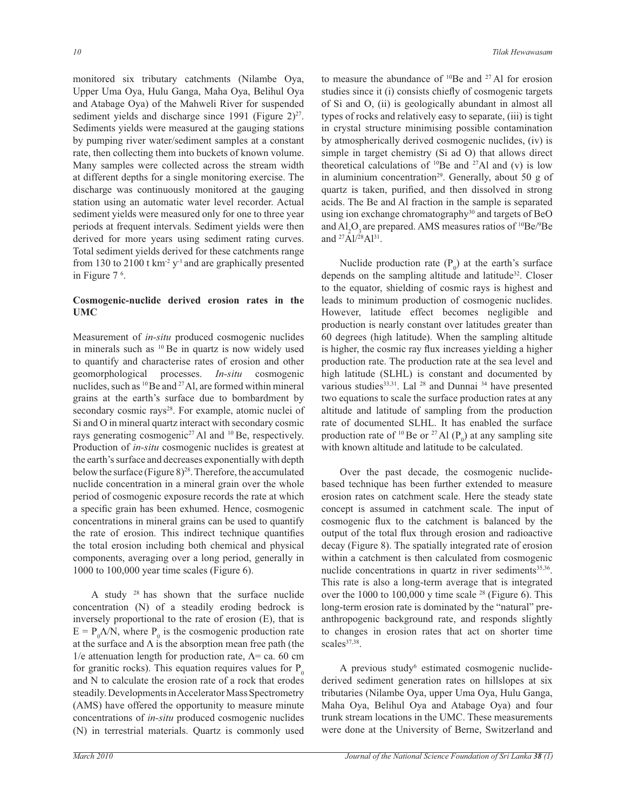monitored six tributary catchments (Nilambe Oya, Upper Uma Oya, Hulu Ganga, Maha Oya, Belihul Oya and Atabage Oya) of the Mahweli River for suspended sediment yields and discharge since  $1991$  (Figure  $2)^{27}$ . Sediments yields were measured at the gauging stations by pumping river water/sediment samples at a constant rate, then collecting them into buckets of known volume. Many samples were collected across the stream width at different depths for a single monitoring exercise. The discharge was continuously monitored at the gauging station using an automatic water level recorder. Actual sediment yields were measured only for one to three year periods at frequent intervals. Sediment yields were then derived for more years using sediment rating curves. Total sediment yields derived for these catchments range from 130 to 2100 t  $km^{-2}y^{-1}$  and are graphically presented in Figure 7 <sup>6</sup> .

## **Cosmogenic-nuclide derived erosion rates in the UMC**

Measurement of *in-situ* produced cosmogenic nuclides in minerals such as <sup>10</sup> Be in quartz is now widely used to quantify and characterise rates of erosion and other geomorphological processes. *In-situ* cosmogenic nuclides, such as <sup>10</sup>Be and <sup>27</sup>Al, are formed within mineral grains at the earth's surface due to bombardment by secondary cosmic rays<sup>28</sup>. For example, atomic nuclei of Si and O in mineral quartz interact with secondary cosmic rays generating cosmogenic<sup>27</sup> Al and <sup>10</sup> Be, respectively. Production of *in-situ* cosmogenic nuclides is greatest at the earth's surface and decreases exponentially with depth below the surface (Figure 8)<sup>28</sup>. Therefore, the accumulated nuclide concentration in a mineral grain over the whole period of cosmogenic exposure records the rate at which a specific grain has been exhumed. Hence, cosmogenic concentrations in mineral grains can be used to quantify the rate of erosion. This indirect technique quantifies the total erosion including both chemical and physical components, averaging over a long period, generally in 1000 to 100,000 year time scales (Figure 6).

A study  $28$  has shown that the surface nuclide concentration (N) of a steadily eroding bedrock is inversely proportional to the rate of erosion (E), that is  $E = P_0 \Lambda/N$ , where  $P_0$  is the cosmogenic production rate at the surface and  $\Lambda$  is the absorption mean free path (the  $1/e$  attenuation length for production rate,  $Λ = ca$ . 60 cm for granitic rocks). This equation requires values for  $P_0$ and N to calculate the erosion rate of a rock that erodes steadily. Developments in Accelerator Mass Spectrometry (AMS) have offered the opportunity to measure minute concentrations of *in-situ* produced cosmogenic nuclides (N) in terrestrial materials. Quartz is commonly used

to measure the abundance of <sup>10</sup>Be and <sup>27</sup> Al for erosion studies since it (i) consists chiefly of cosmogenic targets of Si and O, (ii) is geologically abundant in almost all types of rocks and relatively easy to separate, (iii) is tight in crystal structure minimising possible contamination by atmospherically derived cosmogenic nuclides, (iv) is simple in target chemistry (Si ad O) that allows direct theoretical calculations of  $10Be$  and  $27Al$  and (v) is low in aluminium concentration<sup>29</sup>. Generally, about 50 g of quartz is taken, purified, and then dissolved in strong acids. The Be and Al fraction in the sample is separated using ion exchange chromatography<sup>30</sup> and targets of BeO and  $AI_2O_3$  are prepared. AMS measures ratios of  $10Be/9Be$ and <sup>27</sup>Al/<sup>28</sup>Al<sup>31</sup>.

Nuclide production rate  $(P_0)$  at the earth's surface depends on the sampling altitude and latitude<sup>32</sup>. Closer to the equator, shielding of cosmic rays is highest and leads to minimum production of cosmogenic nuclides. However, latitude effect becomes negligible and production is nearly constant over latitudes greater than 60 degrees (high latitude). When the sampling altitude is higher, the cosmic ray flux increases yielding a higher production rate. The production rate at the sea level and high latitude (SLHL) is constant and documented by various studies<sup>33,31</sup>. Lal <sup>28</sup> and Dunnai <sup>34</sup> have presented two equations to scale the surface production rates at any altitude and latitude of sampling from the production rate of documented SLHL. It has enabled the surface production rate of <sup>10</sup> Be or <sup>27</sup> Al  $(P_0)$  at any sampling site with known altitude and latitude to be calculated.

 Over the past decade, the cosmogenic nuclidebased technique has been further extended to measure erosion rates on catchment scale. Here the steady state concept is assumed in catchment scale. The input of cosmogenic flux to the catchment is balanced by the output of the total flux through erosion and radioactive decay (Figure 8). The spatially integrated rate of erosion within a catchment is then calculated from cosmogenic nuclide concentrations in quartz in river sediments<sup>35,36</sup>. This rate is also a long-term average that is integrated over the 1000 to 100,000 y time scale <sup>28</sup> (Figure 6). This long-term erosion rate is dominated by the "natural" preanthropogenic background rate, and responds slightly to changes in erosion rates that act on shorter time scales<sup>37,38</sup>.

A previous study<sup>6</sup> estimated cosmogenic nuclidederived sediment generation rates on hillslopes at six tributaries (Nilambe Oya, upper Uma Oya, Hulu Ganga, Maha Oya, Belihul Oya and Atabage Oya) and four trunk stream locations in the UMC. These measurements were done at the University of Berne, Switzerland and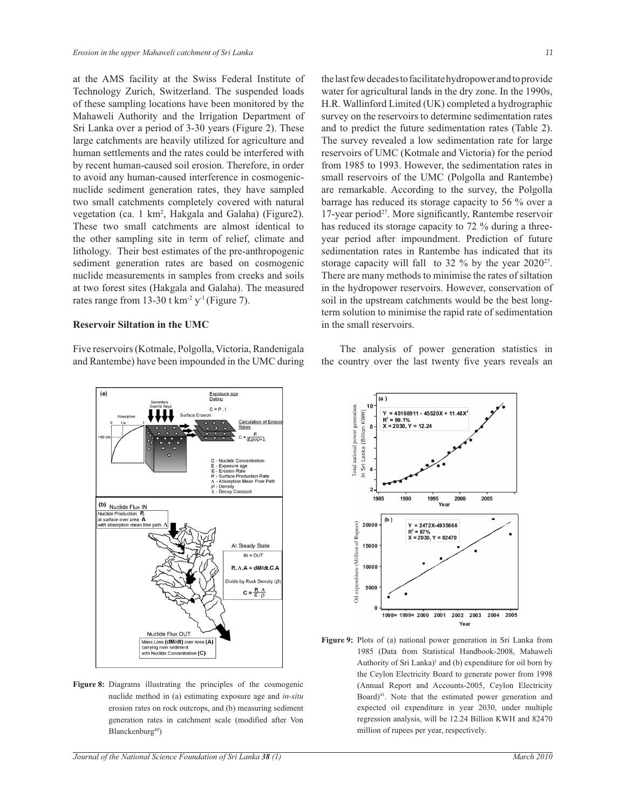at the AMS facility at the Swiss Federal Institute of Technology Zurich, Switzerland. The suspended loads of these sampling locations have been monitored by the Mahaweli Authority and the Irrigation Department of Sri Lanka over a period of 3-30 years (Figure 2). These large catchments are heavily utilized for agriculture and human settlements and the rates could be interfered with by recent human-caused soil erosion. Therefore, in order to avoid any human-caused interference in cosmogenicnuclide sediment generation rates, they have sampled two small catchments completely covered with natural vegetation (ca. 1 km<sup>2</sup>, Hakgala and Galaha) (Figure2). These two small catchments are almost identical to the other sampling site in term of relief, climate and lithology. Their best estimates of the pre-anthropogenic sediment generation rates are based on cosmogenic nuclide measurements in samples from creeks and soils at two forest sites (Hakgala and Galaha). The measured rates range from  $13-30$  t km<sup>-2</sup> y<sup>-1</sup> (Figure 7).

## **Reservoir Siltation in the UMC**

Five reservoirs (Kotmale, Polgolla, Victoria, Randenigala and Rantembe) have been impounded in the UMC during the last few decades to facilitate hydropower and to provide water for agricultural lands in the dry zone. In the 1990s, H.R. Wallinford Limited (UK) completed a hydrographic survey on the reservoirs to determine sedimentation rates and to predict the future sedimentation rates (Table 2). The survey revealed a low sedimentation rate for large reservoirs of UMC (Kotmale and Victoria) for the period from 1985 to 1993. However, the sedimentation rates in small reservoirs of the UMC (Polgolla and Rantembe) are remarkable. According to the survey, the Polgolla barrage has reduced its storage capacity to 56 % over a 17-year period<sup>27</sup>. More significantly, Rantembe reservoir has reduced its storage capacity to 72 % during a threeyear period after impoundment. Prediction of future sedimentation rates in Rantembe has indicated that its storage capacity will fall to 32 % by the year 2020<sup>27</sup>. There are many methods to minimise the rates of siltation in the hydropower reservoirs. However, conservation of soil in the upstream catchments would be the best longterm solution to minimise the rapid rate of sedimentation in the small reservoirs.

 The analysis of power generation statistics in the country over the last twenty five years reveals an



**Figure 8:** Diagrams illustrating the principles of the cosmogenic nuclide method in (a) estimating exposure age and *in-situ*  erosion rates on rock outcrops, and (b) measuring sediment generation rates in catchment scale (modified after Von Blanckenburg<sup>40</sup>)



**Figure 9:** Plots of (a) national power generation in Sri Lanka from 1985 (Data from Statistical Handbook-2008, Mahaweli Authority of Sri Lanka)<sup>1</sup> and (b) expenditure for oil born by the Ceylon Electricity Board to generate power from 1998 (Annual Report and Accounts-2005, Ceylon Electricity Board)<sup>41</sup>. Note that the estimated power generation and expected oil expenditure in year 2030, under multiple regression analysis, will be 12.24 Billion KWH and 82470 million of rupees per year, respectively.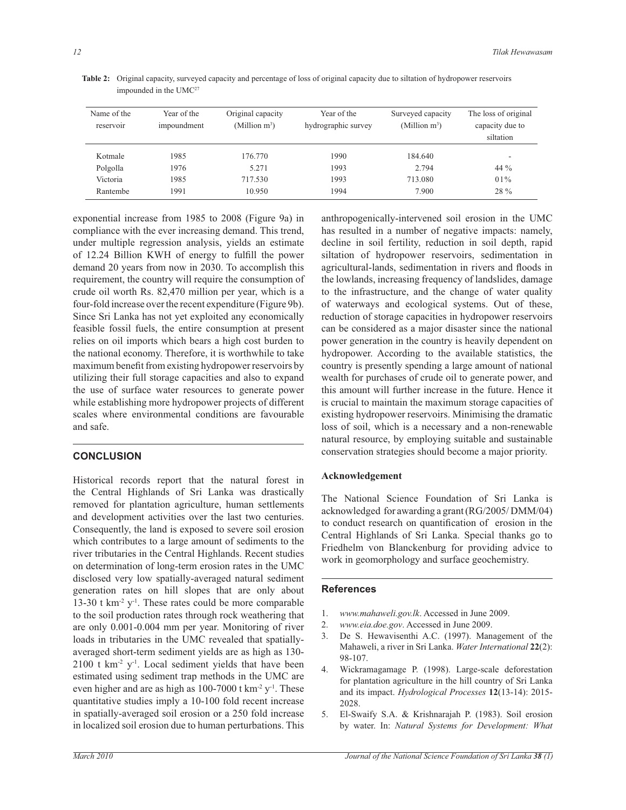| Name of the<br>reservoir | Year of the<br>impoundment | Original capacity<br>(Million $m^3$ ) | Year of the<br>hydrographic survey | Surveyed capacity<br>(Million $m^3$ ) | The loss of original<br>capacity due to<br>siltation |
|--------------------------|----------------------------|---------------------------------------|------------------------------------|---------------------------------------|------------------------------------------------------|
| Kotmale                  | 1985                       | 176.770                               | 1990                               | 184.640                               |                                                      |
| Polgolla                 | 1976                       | 5.271                                 | 1993                               | 2.794                                 | 44 $\%$                                              |
| Victoria                 | 1985                       | 717.530                               | 1993                               | 713.080                               | $01\%$                                               |
| Rantembe                 | 1991                       | 10.950                                | 1994                               | 7.900                                 | 28 %                                                 |

**Table 2:** Original capacity, surveyed capacity and percentage of loss of original capacity due to siltation of hydropower reservoirs impounded in the UMC<sup>27</sup>

exponential increase from 1985 to 2008 (Figure 9a) in compliance with the ever increasing demand. This trend, under multiple regression analysis, yields an estimate of 12.24 Billion KWH of energy to fulfill the power demand 20 years from now in 2030. To accomplish this requirement, the country will require the consumption of crude oil worth Rs. 82,470 million per year, which is a four-fold increase over the recent expenditure (Figure 9b). Since Sri Lanka has not yet exploited any economically feasible fossil fuels, the entire consumption at present relies on oil imports which bears a high cost burden to the national economy. Therefore, it is worthwhile to take maximum benefit from existing hydropower reservoirs by utilizing their full storage capacities and also to expand the use of surface water resources to generate power while establishing more hydropower projects of different scales where environmental conditions are favourable and safe.

# **CONCLUSION**

Historical records report that the natural forest in the Central Highlands of Sri Lanka was drastically removed for plantation agriculture, human settlements and development activities over the last two centuries. Consequently, the land is exposed to severe soil erosion which contributes to a large amount of sediments to the river tributaries in the Central Highlands. Recent studies on determination of long-term erosion rates in the UMC disclosed very low spatially-averaged natural sediment generation rates on hill slopes that are only about 13-30 t km<sup>-2</sup>  $y$ <sup>-1</sup>. These rates could be more comparable to the soil production rates through rock weathering that are only 0.001-0.004 mm per year. Monitoring of river loads in tributaries in the UMC revealed that spatiallyaveraged short-term sediment yields are as high as 130-  $2100$  t km<sup>-2</sup> y<sup>-1</sup>. Local sediment yields that have been estimated using sediment trap methods in the UMC are even higher and are as high as  $100-7000$  t km<sup>-2</sup> y<sup>-1</sup>. These quantitative studies imply a 10-100 fold recent increase in spatially-averaged soil erosion or a 250 fold increase in localized soil erosion due to human perturbations. This

anthropogenically-intervened soil erosion in the UMC has resulted in a number of negative impacts: namely, decline in soil fertility, reduction in soil depth, rapid siltation of hydropower reservoirs, sedimentation in agricultural-lands, sedimentation in rivers and floods in the lowlands, increasing frequency of landslides, damage to the infrastructure, and the change of water quality of waterways and ecological systems. Out of these, reduction of storage capacities in hydropower reservoirs can be considered as a major disaster since the national power generation in the country is heavily dependent on hydropower. According to the available statistics, the country is presently spending a large amount of national wealth for purchases of crude oil to generate power, and this amount will further increase in the future. Hence it is crucial to maintain the maximum storage capacities of existing hydropower reservoirs. Minimising the dramatic loss of soil, which is a necessary and a non-renewable natural resource, by employing suitable and sustainable conservation strategies should become a major priority.

# **Acknowledgement**

The National Science Foundation of Sri Lanka is acknowledged for awarding a grant (RG/2005/ DMM/04) to conduct research on quantification of erosion in the Central Highlands of Sri Lanka. Special thanks go to Friedhelm von Blanckenburg for providing advice to work in geomorphology and surface geochemistry.

## **References**

- 1. *www.mahaweli.gov.lk*. Accessed in June 2009.
- 2. *www.eia.doe.gov*. Accessed in June 2009.
- 3. De S. Hewavisenthi A.C. (1997). Management of the Mahaweli, a river in Sri Lanka. *Water International* **22**(2): 98-107.
- 4. Wickramagamage P. (1998). Large-scale deforestation for plantation agriculture in the hill country of Sri Lanka and its impact. *Hydrological Processes* **12**(13-14): 2015- 2028.
- 5. El-Swaify S.A. & Krishnarajah P. (1983). Soil erosion by water. In: *Natural Systems for Development: What*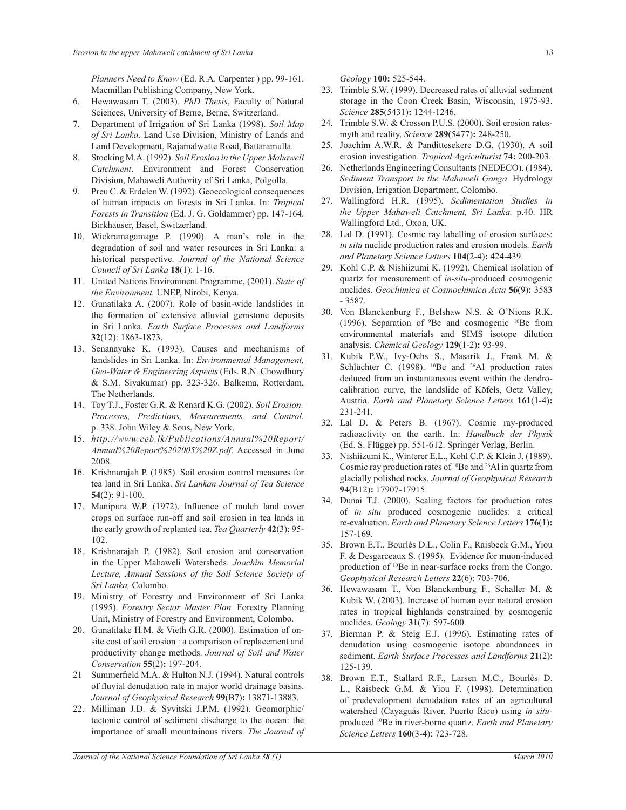*Planners Need to Know* (Ed. R.A. Carpenter ) pp. 99-161. Macmillan Publishing Company, New York.

- 6. Hewawasam T. (2003). *PhD Thesis*, Faculty of Natural Sciences, University of Berne, Berne, Switzerland.
- 7. Department of Irrigation of Sri Lanka (1998). *Soil Map of Sri Lanka*. Land Use Division, Ministry of Lands and Land Development, Rajamalwatte Road, Battaramulla.
- 8. Stocking M.A. (1992). *Soil Erosion in the Upper Mahaweli Catchment*. Environment and Forest Conservation Division, Mahaweli Authority of Sri Lanka, Polgolla.
- 9. Preu C. & Erdelen W. (1992). Geoecological consequences of human impacts on forests in Sri Lanka. In: *Tropical Forests in Transition* (Ed. J. G. Goldammer) pp. 147-164. Birkhauser, Basel, Switzerland.
- 10. Wickramagamage P. (1990). A man's role in the degradation of soil and water resources in Sri Lanka: a historical perspective. *Journal of the National Science Council of Sri Lanka* **18**(1): 1-16.
- 11. United Nations Environment Programme, (2001). *State of the Environment.* UNEP, Nirobi, Kenya.
- 12. Gunatilaka A. (2007). Role of basin-wide landslides in the formation of extensive alluvial gemstone deposits in Sri Lanka. *Earth Surface Processes and Landforms*  **32**(12): 1863-1873.
- 13. Senanayake K. (1993). Causes and mechanisms of landslides in Sri Lanka. In: *Environmental Management, Geo-Water & Engineering Aspects* (Eds. R.N. Chowdhury & S.M. Sivakumar) pp. 323-326. Balkema, Rotterdam, The Netherlands.
- 14. Toy T.J., Foster G.R. & Renard K.G. (2002). *Soil Erosion: Processes, Predictions, Measurements, and Control.*  p. 338. John Wiley & Sons, New York.
- 15. *http://www.ceb.lk/Publications/Annual%20Report/ Annual%20Report%202005%20Z.pdf*. Accessed in June 2008.
- 16. Krishnarajah P. (1985). Soil erosion control measures for tea land in Sri Lanka. *Sri Lankan Journal of Tea Science* **54**(2): 91-100.
- 17. Manipura W.P. (1972). Influence of mulch land cover crops on surface run-off and soil erosion in tea lands in the early growth of replanted tea. *Tea Quarterly* **42**(3): 95- 102.
- 18. Krishnarajah P. (1982). Soil erosion and conservation in the Upper Mahaweli Watersheds. *Joachim Memorial Lecture, Annual Sessions of the Soil Science Society of Sri Lanka,* Colombo.
- 19. Ministry of Forestry and Environment of Sri Lanka (1995). *Forestry Sector Master Plan.* Forestry Planning Unit, Ministry of Forestry and Environment, Colombo.
- 20. Gunatilake H.M. & Vieth G.R. (2000). Estimation of onsite cost of soil erosion : a comparison of replacement and productivity change methods. *Journal of Soil and Water Conservation* **55**(2)**:** 197-204.
- 21 Summerfield M.A. & Hulton N.J. (1994). Natural controls of fluvial denudation rate in major world drainage basins. *Journal of Geophysical Research* **99**(B7)**:** 13871-13883.
- 22. Milliman J.D. & Syvitski J.P.M. (1992). Geomorphic/ tectonic control of sediment discharge to the ocean: the importance of small mountainous rivers. *The Journal of*

*Geology* **100:** 525-544.

- 23. Trimble S.W. (1999). Decreased rates of alluvial sediment storage in the Coon Creek Basin, Wisconsin, 1975-93. *Science* **285**(5431)**:** 1244-1246.
- 24. Trimble S.W. & Crosson P.U.S. (2000). Soil erosion ratesmyth and reality. *Science* **289**(5477)**:** 248-250.
- 25. Joachim A.W.R. & Pandittesekere D.G. (1930). A soil erosion investigation. *Tropical Agriculturist* **74:** 200-203.
- 26. Netherlands Engineering Consultants (NEDECO). (1984). *Sediment Transport in the Mahaweli Ganga*. Hydrology Division, Irrigation Department, Colombo.
- 27. Wallingford H.R. (1995). *Sedimentation Studies in the Upper Mahaweli Catchment, Sri Lanka.* p.40. HR Wallingford Ltd., Oxon, UK.
- 28. Lal D. (1991). Cosmic ray labelling of erosion surfaces: *in situ* nuclide production rates and erosion models. *Earth and Planetary Science Letters* **104**(2-4)**:** 424-439.
- 29. Kohl C.P. & Nishiizumi K. (1992). Chemical isolation of quartz for measurement of *in-situ*-produced cosmogenic nuclides. *Geochimica et Cosmochimica Acta* **56**(9)**:** 3583 - 3587.
- 30. Von Blanckenburg F., Belshaw N.S. & O'Nions R.K. (1996). Separation of <sup>9</sup>Be and cosmogenic <sup>10</sup>Be from environmental materials and SIMS isotope dilution analysis. *Chemical Geology* **129**(1-2)**:** 93-99.
- 31. Kubik P.W., Ivy-Ochs S., Masarik J., Frank M. & Schlüchter C. (1998).  $^{10}$ Be and  $^{26}$ Al production rates deduced from an instantaneous event within the dendrocalibration curve, the landslide of Köfels, Oetz Valley, Austria. *Earth and Planetary Science Letters* **161**(1-4)**:** 231-241.
- 32. Lal D. & Peters B. (1967). Cosmic ray-produced radioactivity on the earth. In: *Handbuch der Physik* (Ed. S. Flügge) pp. 551-612. Springer Verlag, Berlin.
- 33. Nishiizumi K., Winterer E.L., Kohl C.P. & Klein J. (1989). Cosmic ray production rates of <sup>10</sup>Be and <sup>26</sup>Al in quartz from glacially polished rocks. *Journal of Geophysical Research* **94**(B12)**:** 17907-17915.
- 34. Dunai T.J. (2000). Scaling factors for production rates of *in situ* produced cosmogenic nuclides: a critical re-evaluation. *Earth and Planetary Science Letters* **176**(1)**:** 157-169.
- 35. Brown E.T., Bourlès D.L., Colin F., Raisbeck G.M., Yiou F. & Desgarceaux S. (1995). Evidence for muon-induced production of <sup>10</sup>Be in near-surface rocks from the Congo. *Geophysical Research Letters* **22**(6): 703-706.
- 36. Hewawasam T., Von Blanckenburg F., Schaller M. & Kubik W. (2003). Increase of human over natural erosion rates in tropical highlands constrained by cosmogenic nuclides. *Geology* **31**(7): 597-600.
- 37. Bierman P. & Steig E.J. (1996). Estimating rates of denudation using cosmogenic isotope abundances in sediment. *Earth Surface Processes and Landforms* **21**(2): 125-139.
- 38. Brown E.T., Stallard R.F., Larsen M.C., Bourlès D. L., Raisbeck G.M. & Yiou F. (1998). Determination of predevelopment denudation rates of an agricultural watershed (Cayaguás River, Puerto Rico) using *in situ*produced <sup>10</sup>Be in river-borne quartz. *Earth and Planetary Science Letters* **160**(3-4): 723-728.